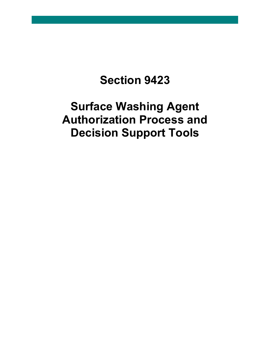# **Section 9423**

# **Surface Washing Agent Authorization Process and Decision Support Tools**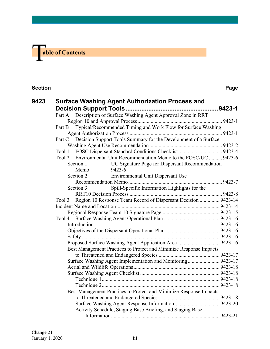

#### **Section Page**

| 9423 |        |                                                                 | Surface Washing Agent Authorization Process and                      |  |  |  |  |  |
|------|--------|-----------------------------------------------------------------|----------------------------------------------------------------------|--|--|--|--|--|
|      |        |                                                                 |                                                                      |  |  |  |  |  |
|      | Part A |                                                                 | Description of Surface Washing Agent Approval Zone in RRT            |  |  |  |  |  |
|      |        |                                                                 |                                                                      |  |  |  |  |  |
|      | Part B |                                                                 | Typical/Recommended Timing and Work Flow for Surface Washing         |  |  |  |  |  |
|      |        |                                                                 |                                                                      |  |  |  |  |  |
|      | Part C | Decision Support Tools Summary for the Development of a Surface |                                                                      |  |  |  |  |  |
|      |        |                                                                 |                                                                      |  |  |  |  |  |
|      |        |                                                                 |                                                                      |  |  |  |  |  |
|      |        |                                                                 | Tool 2 Environmental Unit Recommendation Memo to the FOSC/UC  9423-6 |  |  |  |  |  |
|      |        | Section 1                                                       | UC Signature Page for Dispersant Recommendation                      |  |  |  |  |  |
|      |        | Memo                                                            | 9423-6                                                               |  |  |  |  |  |
|      |        | Section 2                                                       | <b>Environmental Unit Dispersant Use</b>                             |  |  |  |  |  |
|      |        |                                                                 |                                                                      |  |  |  |  |  |
|      |        | Section 3                                                       | Spill-Specific Information Highlights for the                        |  |  |  |  |  |
|      |        |                                                                 |                                                                      |  |  |  |  |  |
|      | Tool 3 |                                                                 | Region 10 Response Team Record of Dispersant Decision  9423-14       |  |  |  |  |  |
|      |        |                                                                 |                                                                      |  |  |  |  |  |
|      |        |                                                                 |                                                                      |  |  |  |  |  |
|      | Tool 4 |                                                                 |                                                                      |  |  |  |  |  |
|      |        |                                                                 |                                                                      |  |  |  |  |  |
|      |        |                                                                 |                                                                      |  |  |  |  |  |
|      |        |                                                                 |                                                                      |  |  |  |  |  |
|      |        |                                                                 |                                                                      |  |  |  |  |  |
|      |        |                                                                 | Best Management Practices to Protect and Minimize Response Impacts   |  |  |  |  |  |
|      |        |                                                                 |                                                                      |  |  |  |  |  |
|      |        |                                                                 | Surface Washing Agent Implementation and Monitoring 9423-17          |  |  |  |  |  |
|      |        |                                                                 |                                                                      |  |  |  |  |  |
|      |        |                                                                 |                                                                      |  |  |  |  |  |
|      |        |                                                                 |                                                                      |  |  |  |  |  |
|      |        |                                                                 |                                                                      |  |  |  |  |  |
|      |        |                                                                 | Best Management Practices to Protect and Minimize Response Impacts   |  |  |  |  |  |
|      |        |                                                                 |                                                                      |  |  |  |  |  |
|      |        |                                                                 |                                                                      |  |  |  |  |  |
|      |        |                                                                 | Activity Schedule, Staging Base Briefing, and Staging Base           |  |  |  |  |  |
|      |        |                                                                 |                                                                      |  |  |  |  |  |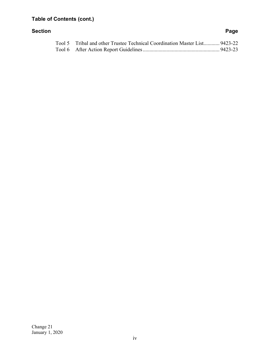# **Table of Contents (cont.)**

#### **Section Page**

| Tool 5 Tribal and other Trustee Technical Coordination Master List 9423-22 |  |
|----------------------------------------------------------------------------|--|
|                                                                            |  |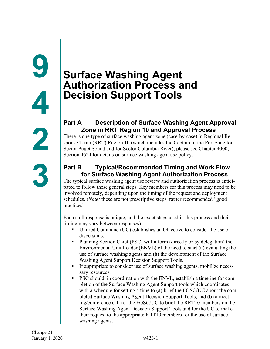# **Surface Washing Agent Authorization Process and Decision Support Tools**

# **Part A Description of Surface Washing Agent Approval Zone in RRT Region 10 and Approval Process**

There is one type of surface washing agent zone (case-by-case) in Regional Response Team (RRT) Region 10 (which includes the Captain of the Port zone for Sector Puget Sound and for Sector Columbia River), please see Chapter 4000, Section 4624 for details on surface washing agent use policy.

# **Part B Typical/Recommended Timing and Work Flow for Surface Washing Agent Authorization Process**

The typical surface washing agent use review and authorization process is anticipated to follow these general steps. Key members for this process may need to be involved remotely, depending upon the timing of the request and deployment schedules. (*Note:* these are not prescriptive steps, rather recommended "good practices".

Each spill response is unique, and the exact steps used in this process and their timing may vary between responses).

- Unified Command (UC) establishes an Objective to consider the use of dispersants.
- Planning Section Chief (PSC) will inform (directly or by delegation) the Environmental Unit Leader (ENVL) of the need to start **(a)** evaluating the use of surface washing agents and **(b)** the development of the Surface Washing Agent Support Decision Support Tools.
- If appropriate to consider use of surface washing agents, mobilize necessary resources.
- PSC should, in coordination with the ENVL, establish a timeline for completion of the Surface Washing Agent Support tools which coordinates with a schedule for setting a time to **(a)** brief the FOSC/UC about the completed Surface Washing Agent Decision Support Tools, and **(b)** a meeting/conference call for the FOSC/UC to brief the RRT10 members on the Surface Washing Agent Decision Support Tools and for the UC to make their request to the appropriate RRT10 members for the use of surface washing agents.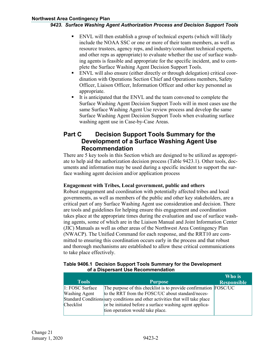- ENVL will then establish a group of technical experts (which will likely include the NOAA SSC or one or more of their team members, as well as resource trustees, agency reps, and industry/consultant technical experts, and other reps as appropriate) to evaluate whether the use of surface washing agents is feasible and appropriate for the specific incident, and to complete the Surface Washing Agent Decision Support Tools.
- ENVL will also ensure (either directly or through delegation) critical coordination with Operations Section Chief and Operations members, Safety Officer, Liaison Officer, Information Officer and other key personnel as appropriate.
- It is anticipated that the ENVL and the team convened to complete the Surface Washing Agent Decision Support Tools will in most cases use the same Surface Washing Agent Use review process and develop the same Surface Washing Agent Decision Support Tools when evaluating surface washing agent use in Case-by-Case Areas.

# **Part C Decision Support Tools Summary for the Development of a Surface Washing Agent Use Recommendation**

There are 5 key tools in this Section which are designed to be utilized as appropriate to help aid the authorization decision process (Table 9423.1). Other tools, documents and information may be used during a specific incident to support the surface washing agent decision and/or application process

#### **Engagement with Tribes, Local government, public and others**

Robust engagement and coordination with potentially affected tribes and local governments, as well as members of the public and other key stakeholders, are a critical part of any Surface Washing Agent use consideration and decision. There are tools and guidelines for helping ensure this engagement and coordination takes place at the appropriate times during the evaluation and use of surface washing agents, some of which are in the Liaison Manual and Joint Information Center (JIC) Manuals as well as other areas of the Northwest Area Contingency Plan (NWACP). The Unified Command for each response, and the RRT10 are committed to ensuring this coordination occurs early in the process and that robust and thorough mechanisms are established to allow these critical communications to take place effectively.

#### **Table 9406.1 Decision Support Tools Summary for the Development of a Dispersant Use Recommendation**

|                      |                                                                               | Who is             |
|----------------------|-------------------------------------------------------------------------------|--------------------|
| <b>Tools</b>         | <b>Purpose</b>                                                                | <b>Responsible</b> |
| 1: FOSC Surface      | The purpose of this checklist is to provide confirmation FOSC/UC              |                    |
| <b>Washing Agent</b> | to the RRT from the FOSC/UC about standard/neces-                             |                    |
|                      | Standard Conditions sary conditions and other activities that will take place |                    |
| Checklist            | or be initiated before a surface washing agent applica-                       |                    |
|                      | tion operation would take place.                                              |                    |
|                      |                                                                               |                    |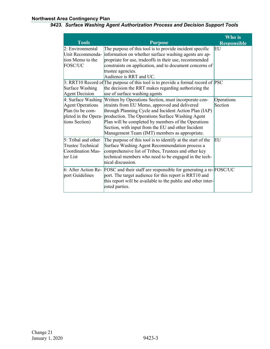#### **Northwest Area Contingency Plan**

#### *9423. Surface Washing Agent Authorization Process and Decision Support Tools*

| <b>Tools</b>                                                                                                  | <b>Purpose</b>                                                                                                                                                                                                                                                                                                                                                                   | Who is<br><b>Responsible</b> |
|---------------------------------------------------------------------------------------------------------------|----------------------------------------------------------------------------------------------------------------------------------------------------------------------------------------------------------------------------------------------------------------------------------------------------------------------------------------------------------------------------------|------------------------------|
| 2: Environmental<br>Unit Recommenda-<br>tion Memo to the<br><b>FOSC/UC</b>                                    | The purpose of this tool is to provide incident specific<br>information on whether surface washing agents are ap-<br>propriate for use, tradeoffs in their use, recommended<br>constraints on application, and to document concerns of<br>trustee agencies.<br>Audience is RRT and UC.                                                                                           | EU                           |
| Surface Washing<br>Agent Decision                                                                             | $\beta$ : RRT10 Record of The purpose of this tool is to provide a formal record of PSC<br>the decision the RRT makes regarding authorizing the<br>use of surface washing agents                                                                                                                                                                                                 |                              |
| $4:$ Surface Washing<br><b>Agent Operations</b><br>Plan (to be com-<br>pleted in the Opera-<br>tions Section) | Written by Operations Section, must incorporate con-<br>straints from EU Memo, approved and delivered<br>through Planning Cycle and Incident Action Plan (IAP)<br>production. The Operations Surface Washing Agent<br>Plan will be completed by members of the Operations<br>Section, with input from the EU and other Incident<br>Management Team (IMT) members as appropriate. | Operations<br>Section        |
| $5:$ Tribal and other<br>Trustee Technical<br>Coordination Mas-<br>ter List                                   | The purpose of this tool is to identify at the start of the<br>Surface Washing Agent Recommendation process a<br>comprehensive list of Tribes, Trustees and other key<br>technical members who need to be engaged in the tech-<br>nical discussion.                                                                                                                              | EU                           |
| port Guidelines                                                                                               | 6: After Action Re- FOSC and their staff are responsible for generating a re-FOSC/UC<br>port. The target audience for this report is RRT10 and<br>this report will be available to the public and other inter-<br>ested parties.                                                                                                                                                 |                              |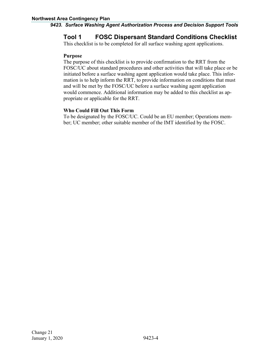# **Tool 1 FOSC Dispersant Standard Conditions Checklist**

This checklist is to be completed for all surface washing agent applications.

#### **Purpose**

The purpose of this checklist is to provide confirmation to the RRT from the FOSC/UC about standard procedures and other activities that will take place or be initiated before a surface washing agent application would take place. This information is to help inform the RRT, to provide information on conditions that must and will be met by the FOSC/UC before a surface washing agent application would commence. Additional information may be added to this checklist as appropriate or applicable for the RRT.

#### **Who Could Fill Out This Form**

To be designated by the FOSC/UC. Could be an EU member; Operations member; UC member; other suitable member of the IMT identified by the FOSC.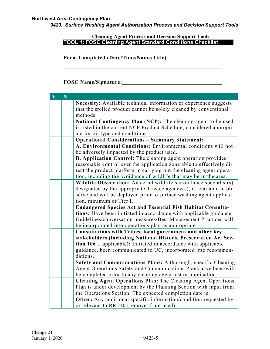#### **Cleaning Agent Process and Decision Support Tools TOOL 1: FOSC Cleaning Agent Standard Conditions Checklist**

**Form Completed (Date/Time/Name/Title)**

**FOSC Name/Signature:**

| $\mathbf{Y}$ | N |                                                                                                                   |
|--------------|---|-------------------------------------------------------------------------------------------------------------------|
|              |   | Necessity: Available technical information or experience suggests                                                 |
|              |   | that the spilled product cannot be solely cleaned by conventional                                                 |
|              |   | methods.                                                                                                          |
|              |   | National Contingency Plan (NCP): The cleaning agent to be used                                                    |
|              |   | is listed in the current NCP Product Schedule; considered appropri-                                               |
|              |   | ate for oil type and conditions.<br><b>Operational Considerations - Summary Statement:</b>                        |
|              |   | A. Environmental Conditions: Environmental conditions will not                                                    |
|              |   | be adversely impacted by the product used.                                                                        |
|              |   | <b>B. Application Control:</b> The cleaning agent operation provides                                              |
|              |   | reasonable control over the application zone able to effectively di-                                              |
|              |   | rect the product platform in carrying out the cleaning agent opera-                                               |
|              |   | tion, including the avoidance of wildlife that may be in the area.                                                |
|              |   | Wildlife Observation: An aerial wildlife surveillance specialist(s),                                              |
|              |   | designated by the appropriate Trustee agency(s), is available to ob-                                              |
|              |   | serve and will be deployed prior to surface washing agent applica-                                                |
|              |   | tion, minimum of Tier I.                                                                                          |
|              |   | <b>Endangered Species Act and Essential Fish Habitat Consulta-</b>                                                |
|              |   | tions: Have been initiated in accordance with applicable guidance.                                                |
|              |   | Guidelines/conversation measures/Best Management Practices will                                                   |
|              |   | be incorporated into operations plan as appropriate.<br>Consultations with Tribes, local government and other key |
|              |   | stakeholders (including National Historic Preservation Act Sec-                                                   |
|              |   | tion 106 if applicable): Initiated in accordance with applicable                                                  |
|              |   | guidance, been communicated to UC, incorporated into recommen-                                                    |
|              |   | dations.                                                                                                          |
|              |   | Safety and Communications Plans: A thorough, specific Cleaning                                                    |
|              |   | Agent Operations Safety and Communications Plans have been/will                                                   |
|              |   | be completed prior to any cleaning agent test or application.                                                     |
|              |   | Cleaning Agent Operations Plan: The Cleaning Agent Operations                                                     |
|              |   | Plan is under development by the Planning Section with input from                                                 |
|              |   | the Operations Section. The expected completion date is:                                                          |
|              |   | <b>Other:</b> Any additional specific information/condition requested by                                          |
|              |   | or relevant to RRT10 (remove if not used).                                                                        |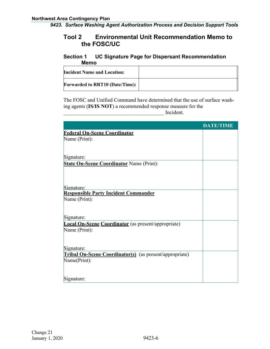# **Tool 2 Environmental Unit Recommendation Memo to the FOSC/UC**

### **Section 1 UC Signature Page for Dispersant Recommendation Memo**

| <b>Incident Name and Location:</b>     |  |
|----------------------------------------|--|
| <b>Forwarded to RRT10 (Date/Time):</b> |  |

The FOSC and Unified Command have determined that the use of surface washing agents (**IS/IS NOT**) a recommended response measure for the \_\_\_\_\_\_\_\_\_\_\_\_\_\_\_\_\_\_\_\_\_\_\_\_\_\_\_\_\_\_\_\_\_\_\_\_\_\_ Incident.

|                                                                | <b>DATE/TIME</b> |
|----------------------------------------------------------------|------------------|
| <b>Federal On-Scene Coordinator</b>                            |                  |
| Name (Print):                                                  |                  |
|                                                                |                  |
|                                                                |                  |
| Signature:                                                     |                  |
| <b>State On-Scene Coordinator Name (Print):</b>                |                  |
|                                                                |                  |
|                                                                |                  |
|                                                                |                  |
| Signature:<br><b>Responsible Party Incident Commander</b>      |                  |
| Name (Print):                                                  |                  |
|                                                                |                  |
|                                                                |                  |
| Signature:                                                     |                  |
| <b>Local On-Scene Coordinator</b> (as present/appropriate)     |                  |
| Name (Print):                                                  |                  |
|                                                                |                  |
|                                                                |                  |
| Signature:                                                     |                  |
| <b>Tribal On-Scene Coordinator(s)</b> (as present/appropriate) |                  |
| Name(Print):                                                   |                  |
|                                                                |                  |
| Signature:                                                     |                  |
|                                                                |                  |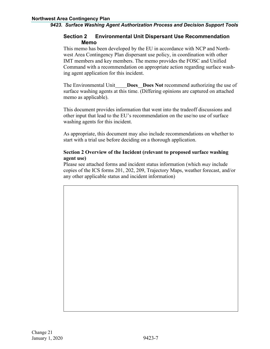#### **Section 2 Environmental Unit Dispersant Use Recommendation Memo**

This memo has been developed by the EU in accordance with NCP and Northwest Area Contingency Plan dispersant use policy, in coordination with other IMT members and key members. The memo provides the FOSC and Unified Command with a recommendation on appropriate action regarding surface washing agent application for this incident.

The Environmental Unit **Does Does Not** recommend authorizing the use of surface washing agents at this time. (Differing opinions are captured on attached memo as applicable).

This document provides information that went into the tradeoff discussions and other input that lead to the EU's recommendation on the use/no use of surface washing agents for this incident.

As appropriate, this document may also include recommendations on whether to start with a trial use before deciding on a thorough application.

#### **Section 2 Overview of the Incident (relevant to proposed surface washing agent use)**

Please see attached forms and incident status information (which *may* include copies of the ICS forms 201, 202, 209, Trajectory Maps, weather forecast, and/or any other applicable status and incident information)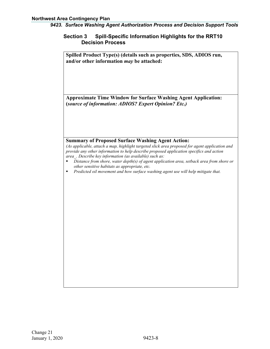#### **Section 3 Spill-Specific Information Highlights for the RRT10 Decision Process**

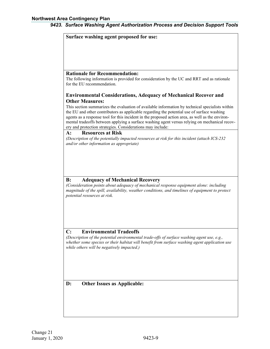| Surface washing agent proposed for use:                                                          |
|--------------------------------------------------------------------------------------------------|
|                                                                                                  |
|                                                                                                  |
|                                                                                                  |
|                                                                                                  |
|                                                                                                  |
| <b>Rationale for Recommendation:</b>                                                             |
| The following information is provided for consideration by the UC and RRT and as rationale       |
| for the EU recommendation.                                                                       |
|                                                                                                  |
| <b>Environmental Considerations, Adequacy of Mechanical Recover and</b>                          |
| <b>Other Measures:</b>                                                                           |
| This section summarizes the evaluation of available information by technical specialists within  |
| the EU and other contributors as applicable regarding the potential use of surface washing       |
| agents as a response tool for this incident in the proposed action area, as well as the environ- |
| mental tradeoffs between applying a surface washing agent versus relying on mechanical recov-    |
| ery and protection strategies. Considerations may include:                                       |
| <b>Resources at Risk</b><br>$\mathbf{A}$ :                                                       |
| (Description of the potentially impacted resources at risk for this incident (attach ICS-232)    |
| and/or other information as appropriate)                                                         |
|                                                                                                  |
|                                                                                                  |
|                                                                                                  |
|                                                                                                  |
|                                                                                                  |
| <b>Adequacy of Mechanical Recovery</b><br>B:                                                     |
| (Consideration points about adequacy of mechanical response equipment alone: including           |
| magnitude of the spill, availability, weather conditions, and timelines of equipment to protect  |
| potential resources at risk.                                                                     |
|                                                                                                  |
|                                                                                                  |
|                                                                                                  |
|                                                                                                  |
|                                                                                                  |
|                                                                                                  |
| <b>Environmental Tradeoffs</b><br>C:                                                             |
| (Description of the potential environmental trade-offs of surface washing agent use, e.g.,       |
| whether some species or their habitat will benefit from surface washing agent application use    |
| while others will be negatively impacted.)                                                       |
|                                                                                                  |
|                                                                                                  |
|                                                                                                  |
|                                                                                                  |
|                                                                                                  |
| D:<br><b>Other Issues as Applicable:</b>                                                         |
|                                                                                                  |
|                                                                                                  |
|                                                                                                  |
|                                                                                                  |
|                                                                                                  |
|                                                                                                  |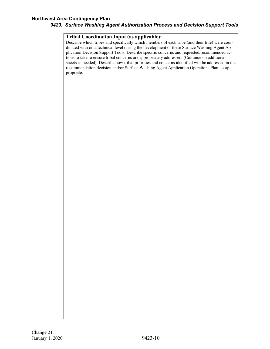#### **Tribal Coordination Input (as applicable):**

Describe which tribes and specifically which members of each tribe (and their title) were coordinated with on a technical level during the development of these Surface Washing Agent Application Decision Support Tools. Describe specific concerns and requested/recommended actions to take to ensure tribal concerns are appropriately addressed. (Continue on additional sheets as needed). Describe how tribal priorities and concerns identified will be addressed in the recommendation decision and/or Surface Washing Agent Application Operations Plan, as appropriate.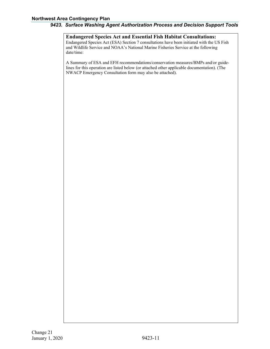#### **Northwest Area Contingency Plan**

#### *9423. Surface Washing Agent Authorization Process and Decision Support Tools*

**Endangered Species Act and Essential Fish Habitat Consultations:** Endangered Species Act (ESA) Section 7 consultations have been initiated with the US Fish and Wildlife Service and NOAA's National Marine Fisheries Service at the following date/time:

A Summary of ESA and EFH recommendations/conservation measures/BMPs and/or guidelines for this operation are listed below (or attached other applicable documentation). (The NWACP Emergency Consultation form may also be attached).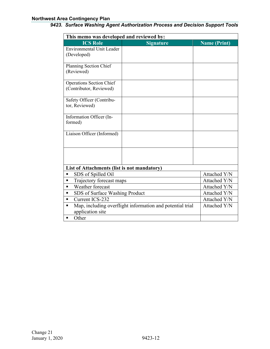#### **Northwest Area Contingency Plan**

| This memo was developed and reviewed by:                       |              |              |  |  |  |  |
|----------------------------------------------------------------|--------------|--------------|--|--|--|--|
| <b>ICS Role</b><br><b>Signature</b><br><b>Name (Print)</b>     |              |              |  |  |  |  |
| <b>Environmental Unit Leader</b>                               |              |              |  |  |  |  |
| (Developed)                                                    |              |              |  |  |  |  |
| Planning Section Chief                                         |              |              |  |  |  |  |
| (Reviewed)                                                     |              |              |  |  |  |  |
| Operations Section Chief                                       |              |              |  |  |  |  |
| (Contributor, Reviewed)                                        |              |              |  |  |  |  |
| Safety Officer (Contribu-                                      |              |              |  |  |  |  |
| tor, Reviewed)                                                 |              |              |  |  |  |  |
| Information Officer (In-                                       |              |              |  |  |  |  |
| formed)                                                        |              |              |  |  |  |  |
| Liaison Officer (Informed)                                     |              |              |  |  |  |  |
|                                                                |              |              |  |  |  |  |
|                                                                |              |              |  |  |  |  |
|                                                                |              |              |  |  |  |  |
| List of Attachments (list is not mandatory)                    |              |              |  |  |  |  |
| SDS of Spilled Oil<br>п                                        |              | Attached Y/N |  |  |  |  |
| Trajectory forecast maps<br>٠                                  | Attached Y/N |              |  |  |  |  |
| Weather forecast<br>п                                          | Attached Y/N |              |  |  |  |  |
| SDS of Surface Washing Product<br>٠                            | Attached Y/N |              |  |  |  |  |
| Current ICS-232<br>٠                                           | Attached Y/N |              |  |  |  |  |
| Map, including overflight information and potential trial<br>٠ | Attached Y/N |              |  |  |  |  |
| application site                                               |              |              |  |  |  |  |
| Other<br>п                                                     |              |              |  |  |  |  |

#### *9423. Surface Washing Agent Authorization Process and Decision Support Tools*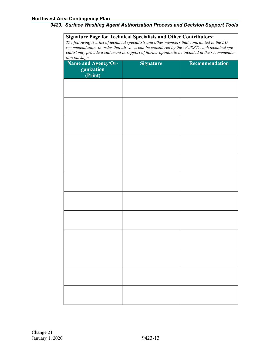**Signature Page for Technical Specialists and Other Contributors:** *The following is a list of technical specialists and other members that contributed to the EU recommendation. In order that all views can be considered by the UC/RRT, each technical specialist may provide a statement in support of his/her opinion to be included in the recommendation package.*

| <b>Name and Agency/Organization</b><br>(Print) | <b>Signature</b> | Recommendation |
|------------------------------------------------|------------------|----------------|
|                                                |                  |                |
|                                                |                  |                |
|                                                |                  |                |
|                                                |                  |                |
|                                                |                  |                |
|                                                |                  |                |
|                                                |                  |                |
|                                                |                  |                |
|                                                |                  |                |
|                                                |                  |                |
|                                                |                  |                |
|                                                |                  |                |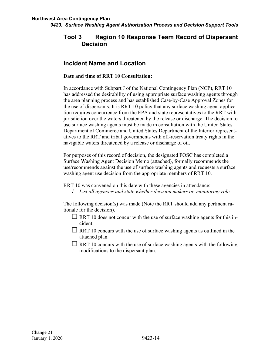# **Tool 3 Region 10 Response Team Record of Dispersant Decision**

# **Incident Name and Location**

#### **Date and time of RRT 10 Consultation:**

In accordance with Subpart J of the National Contingency Plan (NCP), RRT 10 has addressed the desirability of using appropriate surface washing agents through the area planning process and has established Case-by-Case Approval Zones for the use of dispersants. It is RRT 10 policy that any surface washing agent application requires concurrence from the EPA and state representatives to the RRT with jurisdiction over the waters threatened by the release or discharge. The decision to use surface washing agents must be made in consultation with the United States Department of Commerce and United States Department of the Interior representatives to the RRT and tribal governments with off-reservation treaty rights in the navigable waters threatened by a release or discharge of oil.

For purposes of this record of decision, the designated FOSC has completed a Surface Washing Agent Decision Memo (attached), formally recommends the use/recommends against the use of surface washing agents and requests a surface washing agent use decision from the appropriate members of RRT 10.

RRT 10 was convened on this date with these agencies in attendance:

*1. List all agencies and state whether decision makers or monitoring role.*

The following decision(s) was made (Note the RRT should add any pertinent rationale for the decision).

- $\Box$  RRT 10 does not concur with the use of surface washing agents for this incident.
- $\Box$  RRT 10 concurs with the use of surface washing agents as outlined in the attached plan.
- $\Box$  RRT 10 concurs with the use of surface washing agents with the following modifications to the dispersant plan.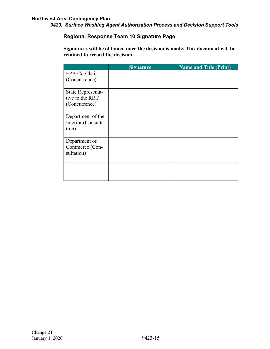#### **Regional Response Team 10 Signature Page**

**Signatures will be obtained once the decision is made. This document will be retained to record the decision.**

|                                                       | <b>Signature</b> | <b>Name and Title (Print)</b> |
|-------------------------------------------------------|------------------|-------------------------------|
| EPA Co-Chair<br>(Concurrence)                         |                  |                               |
| State Representa-<br>tive to the RRT<br>(Concurrence) |                  |                               |
| Department of the<br>Interior (Consulta-<br>tion)     |                  |                               |
| Department of<br>Commerce (Con-<br>sultation)         |                  |                               |
|                                                       |                  |                               |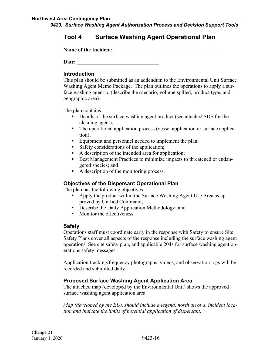# **Tool 4 Surface Washing Agent Operational Plan**

**Name of the Incident:**

**Date:**

#### **Introduction**

This plan should be submitted as an addendum to the Environmental Unit Surface Washing Agent Memo Package. The plan outlines the operations to apply a surface washing agent to (describe the scenario, volume spilled, product type, and geographic area).

The plan contains:

- Details of the surface washing agent product (see attached SDS for the cleaning agent);
- The operational application process (vessel application or surface application);
- Equipment and personnel needed to implement the plan;
- Safety considerations of the application;
- A description of the intended area for application;
- Best Management Practices to minimize impacts to threatened or endangered species; and
- A description of the monitoring process.

#### **Objectives of the Dispersant Operational Plan**

The plan has the following objectives:

- Apply the product within the Surface Washing Agent Use Area as approved by Unified Command;
- **•** Describe the Daily Application Methodology; and
- Monitor the effectiveness.

#### **Safety**

Operations staff must coordinate early in the response with Safety to ensure Site Safety Plans cover all aspects of the response including the surface washing agent operations. See site safety plan, and applicable 204s for surface washing agent operations safety messages.

Application tracking/frequency photographs, videos, and observation logs will be recorded and submitted daily.

#### **Proposed Surface Washing Agent Application Area**

The attached map (developed by the Environmental Unit) shows the approved surface washing agent application area.

*Map (developed by the EU), should include a legend, north arrows, incident location and indicate the limits of potential application of dispersant.*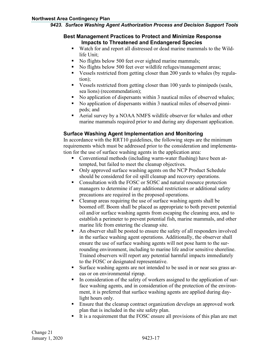#### **Best Management Practices to Protect and Minimize Response Impacts to Threatened and Endangered Species**

- Watch for and report all distressed or dead marine mammals to the Wildlife Unit;
- No flights below 500 feet over sighted marine mammals;
- No flights below 500 feet over wildlife refuges/management areas;
- Vessels restricted from getting closer than 200 yards to whales (by regulation);
- Vessels restricted from getting closer than 100 yards to pinnipeds (seals, sea lions) (recommendation);
- No application of dispersants within 3 nautical miles of observed whales;
- No application of dispersants within 3 nautical miles of observed pinnipeds; and
- Aerial survey by a NOAA NMFS wildlife observer for whales and other marine mammals required prior to and during any dispersant application.

### **Surface Washing Agent Implementation and Monitoring**

In accordance with the RRT10 guidelines, the following steps are the minimum requirements which must be addressed prior to the consideration and implementation for the use of surface washing agents in the application area:

- Conventional methods (including warm-water flushing) have been attempted, but failed to meet the cleanup objectives.
- Only approved surface washing agents on the NCP Product Schedule should be considered for oil spill cleanup and recovery operations.
- Consultation with the FOSC or SOSC and natural resource protection managers to determine if any additional restrictions or additional safety precautions are required in the proposed operations.
- Cleanup areas requiring the use of surface washing agents shall be boomed off. Boom shall be placed as appropriate to both prevent potential oil and/or surface washing agents from escaping the cleaning area, and to establish a perimeter to prevent potential fish, marine mammals, and other marine life from entering the cleanup site.
- An observer shall be posted to ensure the safety of all responders involved in the surface washing agent operations. Additionally, the observer shall ensure the use of surface washing agents will not pose harm to the surrounding environment, including to marine life and/or sensitive shoreline. Trained observers will report any potential harmful impacts immediately to the FOSC or designated representative.
- Surface washing agents are not intended to be used in or near sea grass areas or on environmental riprap.
- In consideration of the safety of workers assigned to the application of surface washing agents, and in consideration of the protection of the environment, it is preferred that surface washing agents are applied during daylight hours only.
- **Ensure that the cleanup contract organization develops an approved work** plan that is included in the site safety plan.
- It is a requirement that the FOSC ensure all provisions of this plan are met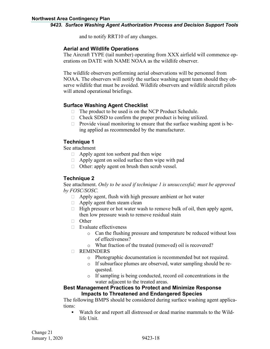and to notify RRT10 of any changes.

#### **Aerial and Wildlife Operations**

The Aircraft TYPE (tail number) operating from XXX airfield will commence operations on DATE with NAME NOAA as the wildlife observer.

The wildlife observers performing aerial observations will be personnel from NOAA. The observers will notify the surface washing agent team should they observe wildlife that must be avoided. Wildlife observers and wildlife aircraft pilots will attend operational briefings.

#### **Surface Washing Agent Checklist**

- $\Box$  The product to be used is on the NCP Product Schedule.
- $\Box$  Check SDSD to confirm the proper product is being utilized.
- $\Box$  Provide visual monitoring to ensure that the surface washing agent is being applied as recommended by the manufacturer.

### **Technique 1**

See attachment

- $\Box$  Apply agent ton sorbent pad then wipe
- $\Box$  Apply agent on soiled surface then wipe with pad
- $\Box$  Other: apply agent on brush then scrub vessel.

### **Technique 2**

See attachment. *Only to be used if technique 1 is unsuccessful; must be approved by FOSC/SOSC.*

- $\Box$  Apply agent, flush with high pressure ambient or hot water
- $\Box$  Apply agent then steam clean
- $\Box$  High pressure or hot water wash to remove bulk of oil, then apply agent, then low pressure wash to remove residual stain
- $\Box$  Other
- $\Box$  Evaluate effectiveness
	- o Can the flushing pressure and temperature be reduced without loss of effectiveness?
	- o What fraction of the treated (removed) oil is recovered?
- **D** REMINDERS
	- o Photographic documentation is recommended but not required.
	- o If subsurface plumes are observed, water sampling should be requested.
	- o If sampling is being conducted, record oil concentrations in the water adjacent to the treated areas.

#### **Best Management Practices to Protect and Minimize Response Impacts to Threatened and Endangered Species**

The following BMPS should be considered during surface washing agent applications:

 Watch for and report all distressed or dead marine mammals to the Wildlife Unit.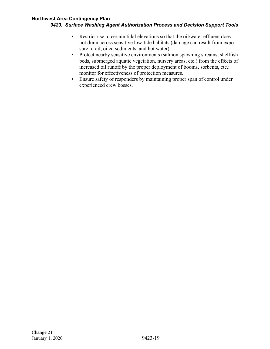- Restrict use to certain tidal elevations so that the oil/water effluent does not drain across sensitive low-tide habitats (damage can result from exposure to oil, oiled sediments, and hot water).
- **Protect nearby sensitive environments (salmon spawning streams, shellfish** beds, submerged aquatic vegetation, nursery areas, etc.) from the effects of increased oil runoff by the proper deployment of booms, sorbents, etc.: monitor for effectiveness of protection measures.
- Ensure safety of responders by maintaining proper span of control under experienced crew bosses.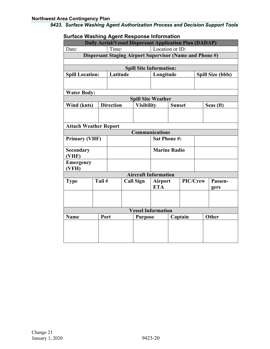| oanacc washing Agunt Response imomiation                 |                                                                                            |                  |  |                                |                     |               |          |  |                          |
|----------------------------------------------------------|--------------------------------------------------------------------------------------------|------------------|--|--------------------------------|---------------------|---------------|----------|--|--------------------------|
| Date:                                                    | <b>Daily Aerial/Vessel Dispersant Application Plan (DADAP)</b><br>Location or ID:<br>Time: |                  |  |                                |                     |               |          |  |                          |
| Dispersant Staging Airport Supervisor (Name and Phone #) |                                                                                            |                  |  |                                |                     |               |          |  |                          |
|                                                          |                                                                                            |                  |  |                                |                     |               |          |  |                          |
|                                                          |                                                                                            |                  |  | <b>Spill Site Information:</b> |                     |               |          |  |                          |
| <b>Spill Location:</b>                                   |                                                                                            | Latitude         |  |                                | Longitude           |               |          |  | <b>Spill Size (bbls)</b> |
|                                                          |                                                                                            |                  |  |                                |                     |               |          |  |                          |
| <b>Water Body:</b>                                       |                                                                                            |                  |  |                                |                     |               |          |  |                          |
|                                                          |                                                                                            |                  |  | <b>Spill Site Weather</b>      |                     |               |          |  |                          |
| Wind (knts)                                              |                                                                                            | <b>Direction</b> |  | <b>Visibility</b>              |                     | <b>Sunset</b> |          |  | Seas (ft)                |
|                                                          |                                                                                            |                  |  |                                |                     |               |          |  |                          |
|                                                          |                                                                                            |                  |  |                                |                     |               |          |  |                          |
| <b>Attach Weather Report</b>                             |                                                                                            |                  |  |                                |                     |               |          |  |                          |
|                                                          |                                                                                            |                  |  | <b>Communications</b>          |                     |               |          |  |                          |
| <b>Primary (VHF)</b>                                     |                                                                                            |                  |  |                                | <b>Sat Phone #:</b> |               |          |  |                          |
| <b>Secondary</b><br>(VHF)                                |                                                                                            |                  |  |                                | <b>Marine Radio</b> |               |          |  |                          |
| <b>Emergency</b><br>(VFH)                                |                                                                                            |                  |  |                                |                     |               |          |  |                          |
|                                                          |                                                                                            |                  |  | <b>Aircraft Information</b>    |                     |               |          |  |                          |
| <b>Type</b>                                              | Tail #                                                                                     |                  |  | <b>Call Sign</b>               | <b>Airport</b>      |               | PIC/Crew |  | Passen-                  |
|                                                          | <b>ETA</b>                                                                                 |                  |  |                                | gers                |               |          |  |                          |
|                                                          |                                                                                            |                  |  |                                |                     |               |          |  |                          |
|                                                          |                                                                                            |                  |  |                                |                     |               |          |  |                          |
|                                                          |                                                                                            |                  |  | <b>Vessel Information</b>      |                     |               |          |  |                          |
| <b>Name</b>                                              | Port<br>Captain<br><b>Purpose</b>                                                          |                  |  |                                |                     | Other         |          |  |                          |
|                                                          |                                                                                            |                  |  |                                |                     |               |          |  |                          |
|                                                          |                                                                                            |                  |  |                                |                     |               |          |  |                          |
|                                                          |                                                                                            |                  |  |                                |                     |               |          |  |                          |
|                                                          |                                                                                            |                  |  |                                |                     |               |          |  |                          |

# **Surface Washing Agent Response Information**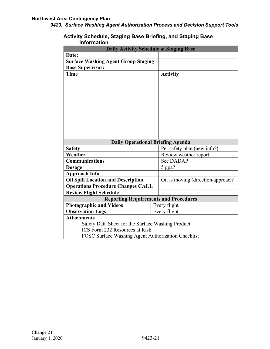#### **Activity Schedule, Staging Base Briefing, and Staging Base Information**

| <b>Daily Activity Schedule at Staging Base</b>     |  |                                    |  |
|----------------------------------------------------|--|------------------------------------|--|
| Date:                                              |  |                                    |  |
| <b>Surface Washing Agent Group Staging</b>         |  |                                    |  |
| <b>Base Supervisor:</b>                            |  |                                    |  |
| <b>Time</b>                                        |  | <b>Activity</b>                    |  |
|                                                    |  |                                    |  |
|                                                    |  |                                    |  |
|                                                    |  |                                    |  |
|                                                    |  |                                    |  |
|                                                    |  |                                    |  |
|                                                    |  |                                    |  |
|                                                    |  |                                    |  |
|                                                    |  |                                    |  |
|                                                    |  |                                    |  |
|                                                    |  |                                    |  |
| <b>Daily Operational Briefing Agenda</b>           |  |                                    |  |
| <b>Safety</b>                                      |  | Per safety plan (new info?)        |  |
| Weather                                            |  | Review weather report              |  |
| <b>Communications</b>                              |  | See DADAP                          |  |
| <b>Dosage</b>                                      |  | 5 gpa?                             |  |
| <b>Approach Info</b>                               |  |                                    |  |
| <b>Oil Spill Location and Description</b>          |  | Oil is moving (direction/approach) |  |
| <b>Operations Procedure Changes CALL</b>           |  |                                    |  |
| <b>Review Flight Schedule</b>                      |  |                                    |  |
| <b>Reporting Requirements and Procedures</b>       |  |                                    |  |
| <b>Photographic and Videos</b>                     |  | Every flight                       |  |
| <b>Observation Logs</b>                            |  | Every flight                       |  |
| <b>Attachments</b>                                 |  |                                    |  |
| Safety Data Sheet for the Surface Washing Product  |  |                                    |  |
| <b>ICS</b> Form 232 Resources at Risk              |  |                                    |  |
| FOSC Surface Washing Agent Authorization Checklist |  |                                    |  |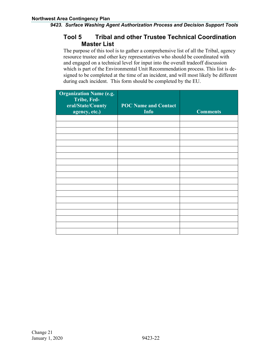# **Tool 5 Tribal and other Trustee Technical Coordination Master List**

The purpose of this tool is to gather a comprehensive list of all the Tribal, agency resource trustee and other key representatives who should be coordinated with and engaged on a technical level for input into the overall tradeoff discussion which is part of the Environmental Unit Recommendation process. This list is designed to be completed at the time of an incident, and will most likely be different during each incident. This form should be completed by the EU.

| <b>Organization Name (e.g.</b><br>Tribe, Fed-<br>eral/State/County<br>agency, etc.) | <b>POC Name and Contact</b><br><b>Info</b> | <b>Comments</b> |
|-------------------------------------------------------------------------------------|--------------------------------------------|-----------------|
|                                                                                     |                                            |                 |
|                                                                                     |                                            |                 |
|                                                                                     |                                            |                 |
|                                                                                     |                                            |                 |
|                                                                                     |                                            |                 |
|                                                                                     |                                            |                 |
|                                                                                     |                                            |                 |
|                                                                                     |                                            |                 |
|                                                                                     |                                            |                 |
|                                                                                     |                                            |                 |
|                                                                                     |                                            |                 |
|                                                                                     |                                            |                 |
|                                                                                     |                                            |                 |
|                                                                                     |                                            |                 |
|                                                                                     |                                            |                 |
|                                                                                     |                                            |                 |
|                                                                                     |                                            |                 |
|                                                                                     |                                            |                 |
|                                                                                     |                                            |                 |